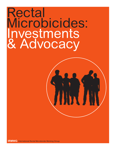# Rectal Microbicides: Investments & Advocacy

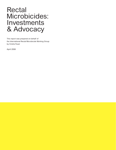# Rectal Microbicides: Investments & Advocacy

This report was prepared on behalf of the International Rectal Microbicide Working Group by Cindra Feuer

April 2006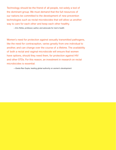Technology should be the friend of all people, not solely a tool of the dominant group. We must demand that the full resources of our nations be committed to the development of new prevention technologies such as rectal microbicides that will allow us another way to care for each other and keep each other healthy.

—Eric Rofes, professor, author, and advocate for men's health

Women's need for protection against sexually transmitted pathogens, like the need for contraception, varies greatly from one individual to another, and can change over the course of a lifetime. The availability of both a rectal and vaginal microbicide will ensure that women have options, should they need them, for protection against HIV and other STDs. For this reason, an investment in research on rectal microbicides is essential.

—Geeta Rao Gupta, leading global authority on women's development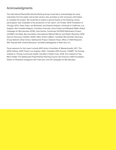# Acknowledgments

The International Rectal Microbicide Working Group would like to acknowledge the many individuals from the public and private sectors who provided us with necessary information to complete the project. We would like to extend a special thanks to the following, whose participation was invaluable to the production of this report: Jim Pickett, AIDS Foundation of Chicago (AFC); Peter Anton, Ian McGowan, and Pamina Gorbach, University of California, Los Angeles; Alex Carballo-Diéguez, Columbia University; Anna Forbes and Rebekah Webb, Global Campaign for Microbicides (GCM); Julie Davids, Community HIV/AIDS Mobilization Project (CHAMP); Kim Mulji, Naz Foundation International; Mitchell Warren and Robert Reinhard, AIDS Vaccine Advocacy Coalition (AVAC); Marc-André LeBlanc, Canadian Microbicides Advocacy Group Network; Brian Green, SafeGuards Project; Deborah Kraut, Office of AIDS Research, NIH; Pascale Willi; Andrea Benzacar; and Marty Bellagamba of Bell-Litho, Inc.

Fiscal sponsors for this report include AIDS Action Committee of Massachusetts; AFC; The AIDS Institute; AIDS Project Los Angeles; AVAC; Canadian AIDS Society; CHAMP; The Fenway Institute at Fenway Community Health; Gay Men's Health Crisis; GCM; The Institute for Gay Men's Health; The SafeGuards Project/Family Planning Council; San Francisco AIDS Foundation; Sisters of Perpetual Indulgence San Francisco; and UK Campaign for Microbicides.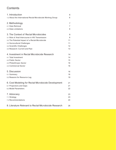# **Contents**

| 1. Introduction                                              | 6  |
|--------------------------------------------------------------|----|
| 1.2 About the International Rectal Microbicide Working Group | 6  |
| 2. Methodology                                               | 7  |
| 2.1 Data Retrieval                                           | 7  |
| 2.2 Data Limitations                                         | 8  |
| 3. The Context of Rectal Microbicides                        | 8  |
| 3.1 Role of Anal Intercourse in HIV Transmission             | 8  |
| 3.2 The Potential Impact of a Rectal Microbicide             | 11 |
| 3.3 Sociocultural Challenges                                 | 11 |
| 3.4 Scientific Challenges                                    | 12 |
| 3.5 Research: Current and Past                               | 13 |
| 4. Investment in Rectal Microbicide Research                 | 14 |
| 4.1 Total Investment                                         | 14 |
| 4.2 Public Sector                                            | 15 |
| 4.3 Philanthropic Sector                                     | 16 |
| 4.4 Commercial Sector                                        | 16 |
| 5. Discussion                                                | 16 |
| 5.1 Summary                                                  | 16 |
| 5.2 Reasons for Resource Lag                                 | 19 |
| 6. Cost Modeling for Rectal Microbicide Development          | 21 |
| 6.1 Projections and Gaps                                     | 21 |
| 6.2 Model Parameters                                         | 22 |
| 7. Advocacy                                                  | 23 |
| 7.1 Strategy                                                 | 23 |
| 7.2 Recommendations                                          | 24 |
| 8. Literature Relevant to Rectal Microbicide Research        | 26 |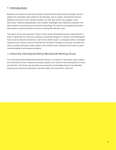# 1. Introduction

Research into rectal microbicides has been underfunded by both private and public sectors, despite the potentially large market for microbicides, and an urgent, international need for additional prevention tools, beyond condoms, for men and women who engage in anal intercourse. Political marginalization and scientific challenges have sidelined investment into what could be a promising new prevention technology. The need for a biomedical prevention intervention is underscored by the world's climbing HIV infection rates.

This report serves two purposes: Firstly, it tracks rectal microbicide research expenditures in order to determine the resources needed to accelerate progress in research and development. Total rectal microbicide investment, charted from 2000 onward, is compared with an estimated required sum to bring a rectal microbicide from the bench through to licensure. Secondly, this report provides advocates, policy makers, and scientists with a reference from which to pose recommendations and measure progress.

#### 1.2 About the International Rectal Microbicide Working Group

The International Rectal Microbicide Working Group is a coalition of advocates, policy makers and scientists from five continents working to advance the research and development of rectal microbicides. The Group also promotes new prevention technologies beyond microbicides, exploring pre-exposure prophylaxis, lubricant safety, and sexual harm reduction.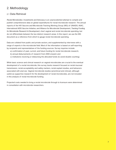# 2. Methodology

#### 2.1 Data Retrieval

*Rectal Microbicides: Investments and Advocacy* is an unprecedented attempt to compile and publish comprehensive data on global expenditures for rectal microbicide research. The annual reports of the HIV Vaccine and Microbicide Tracking Working Group (WG) of UNAIDS, AVAC, International AIDS Vaccine Initiative, and Alliance for Microbicide Development, *Tracking Funding for Microbicide Research & Development*, chart vaginal and rectal microbicide spending, but do not differentiate between the two distinct research areas. In this report, we use the WG document as a reference from which to gauge rectal microbicide spending.

Data are collated from public and private sectors, and supplemented by interviews with a range of experts in the microbicide field. Most of the information is based on self-reporting by recipients and representatives of the funding sources. Survey inquiries include:

- a) confirmation of past, current, and future funding for rectal microbicide research;
- b) annual disbursements of research from 2000 onward; and
- c) institutions receiving or disbursing the allocated funds (to avoid double counting).

While basic science and clinical research on vaginal microbicides are crucial to the eventual development of a rectal microbicide, this survey tracks research focused on rectal mucosal transmission, rectal acceptability and safety markers, rectal explant studies, and behaviors associated with anal sex. Vaginal microbicide studies (preclinical and clinical), although useful as supportive research for the development of rectal microbicides, are not included in this analysis of rectal microbicide funding.

Projected costs needed to bring a rectal microbicide through to licensure were determined in consultation with microbicide researchers.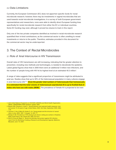#### 2.2 Data Limitations

Currently, the European Commission (EC) does not apportion specific funds for rectal microbicide research; however, there may be investments in vaginal microbicides that are used towards rectal microbicide investigations. In a survey of both European government representatives and researchers, none were able to identify direct European funding lines specifically for rectal microbicide research from either the EC or individual countries. Some EC funding may exist, although it proved too elusive to track in this report.

Only one of the two private companies identified as involved in rectal microbicide research quantified their in-kind contributions, as the commercial sector is often unwilling to reveal investments or returns to the public. Therefore, estimates provided in this document for the commercial sector may be underreported.

### 3. The Context of Rectal Microbicides

#### 3.1 Role of Anal Intercourse in HIV Transmission

Overall rates of HIV transmission are still increasing, indicating that far greater attention to prevention, including new methods and technologies, is needed to decelerate the epidemic. Latest global figures show that in 2005 there were an additional 5 million new infections, and the number of people living with HIV hit its highest level at an estimated 40.3 million<sup>1</sup>.

A range of data suggests that a significant proportion of transmission might be attributed to anal sex. Studies show that up to 30% of the heterosexual population in many cultures engage in anal intercourse (AI)<sup>234</sup>. Given the greater total numbers of heterosexuals than homosexuals, **it is estimated that the total volume of heterosexual unprotected AI is up to fivefold that of males who have sex with males (MSM)<sup>5</sup>.** The prevalence of female AI is projected to be even

- 1. Joint United Nations Programme on HIV/AIDS (UNAIDS) and World Health Organization (WHO). UNAIDS/WHO AIDS epidemic update. 2005.
- 2. Mosher WD, Chandra A, Jones J. Sexual behavior and selected health measures: men and women 15–44 years of age, United States, 2002. Adv Data. September 2005; (362): 1-55.
- 3. Caceres C, Oss V, Marin B, Hudes E, al e. Young people and the structure of sexual risks in Lima. *AIDS*. 1997; 11((suppl. 1)): S67–77.
- 4. Ramjee G GE. Prevalence of HIV among truck drivers visiting sex workers in KwaZulu-Natal, South Africa. *Sex Transm Dis*. 2002; 29: 44–9.
- 5. Rohr B, Gross M, Mayer K. Rectal microbicides that protect against HIV infection, report from the Workshop Creating a Research and Development Agenda. Baltimore, Maryland, June 7–8, 2001.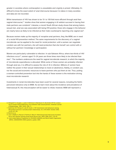greater in societies where contraception is unavailable and virginity is prized. Ultimately, it's difficult to know the exact extent of anal intercourse because it is taboo in many societies and data are not recorded.

While transmission of HIV has shown to be 10- to 100-fold more efficient through anal than vaginal intercourse,<sup>67</sup> studies show that women engaging in AI seldom succeed in having their male partners use condoms<sup>8</sup>. Likewise, a recent South African study shows that among heterosexual men, anal sex was associated with being HIV-positive; those who engage in the behavior are nearly twice as likely to be infected as their male counterparts reporting only vaginal sex<sup>9</sup>.

Because women make up the majority of receptive anal partners, they, like MSM, are in need of a rectal HIV-prevention method. The same requirements for the discovery of a vaginal microbicide can be applied to the need for rectal protection: until a woman can negotiate condom use with her partners, she will need protection that she herself can control with or without her partners' knowledge or participation.

Women are particularly vulnerable to infection. In sub-Saharan Africa, where two-thirds of HIV infections occur<sup>10</sup>, women aged 15–24 years are three times more likely to be infected than men<sup>11</sup>. The numbers underscore the need for vaginal microbicide research, to which the majority of microbicide expenditures is allocated. While some of these women are probably infected through anal sex, it is difficult to assess the role of AI in infection. Millions of women have neither the power in their sexual relationships to insist on abstinence, fidelity, or condom use, nor the social and economic resources to leave partners who put them at risk. Thus, putting a woman-controlled prevention tool into the hands of these women is the motivation driving most microbicide research.

Investments in rectal microbicides have been scant for several reasons, including the field's perceived relevance only to MSM. As we learn more about the incidence and prevalence of heterosexual AI, this misconception will be easier to refute; however, MSM still represent a

<sup>6.</sup> Vittinghoff E, Douglas J, Judon F, McKiman D, MacQueen K, Buchinder SP. Per-contact risk of human immunodeficiency virus between male sexual partners. *American Journal of Epidemiology*. 1999; 150(3): 306–11.

<sup>7.</sup> Kalichman SC, Rompa D, Luke W, Austin J. HIV transmission risk behaviours among HIV-positive persons in serodiscordant relationships. *Int J STD AIDS*. October 2002; 13(10): 677–82.

<sup>8.</sup> Rohr B, et al.

<sup>9.</sup> Lane T, Pettifor A, Pascoe S, Fiamma A, Rees H. Heterosexual anal intercourse increases risk of HIV infection among young South African men. *AIDS*. 2006; 20(1): 123–25.

<sup>10.</sup> Joint United Nations Programme on HIV/AIDS (UNAIDS) and World Health Organization (WHO). UNAIDS/WHO AIDS epidemic update. 2005.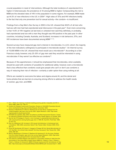crucial population in need of interventions. Although the total incidence of unprotected AI is higher in heterosexuals, the prevalence of AI among MSM is higher. Compounding the risk to MSM are the elevated rates of HIV in this population in some regions. For example, MSM made up 44.3% of new infections in the U.S. in 2004<sup>12</sup>. High rates of STIs and HIV infections testify to the fact that only one prevention tool for sexual activity—the condom—is insufficient.

Findings from a Gay Men's Sex Survey in 2002 in the U.K. showed that 48.8% of all men who had sex with men had had unprotected anal intercourse in the past year<sup>13</sup>. Even more concerning is that 14.6% of HIV negative (at last test) or untested men said they definitely, or probably, had unprotected anal sex with a man they thought was HIV-positive in the past year. In other countries, including Canada, Australia, and Scotland, increases in risk behaviors, STIs, and HIV incidences have been documented among MSM14 15 16.

Several surveys have measured gay men's interest in microbicides. In a U.S. cohort, the majority of the men indicated a willingness to participate in microbicide studies17. An Internet survey of 10,000 MSM in the U.K. showed that most would use a microbicide<sup>18</sup>. According to a San Francisco study, however, only 25–35% of gay men said they would be interested in using microbicides if they weren't as effective as condoms<sup>19</sup>.

Because of this apprehension, it should be emphasized that microbicides, when available, should be used with condoms (if possible) for additional safety; however, even a microbicide that is less effective than condoms could give people who can't or don't use condoms a way of reducing their risk of infection—certainly a safer option than using nothing at all.

Efforts are needed to overcome the taboo and stigma around AI, and the denial and homo-phobia that are barriers to ensuring strong efforts to address the health needs of women, gay men, and MSM.

- 11. Kim J, Watts CH. Gaining a foothold: tackling poverty, gender, inequality and HIV in Africa. BMJ. 2005; 331: 769–72.
- 12. Centers for Disease Control and Prevention, Division of HIV/AIDS Prevention-Surveillance and Epidemiology, Special Data Request. November 2005.
- 13. Hickson F, Weatherburn P, Reid D, Stephens M. Out and about. Findings from the United Kingdom, gay men's sex survey 2002. Sigma Research. 2003. http://www. sigmaresearch.org.uk/reports.html.
- 14. HIV/AIDS Epi Updates, May 2005; Surveillance and Risk Assessment Division, Centre for Infectious Disease Prevention and Control, Public Health Agency of Canada, 2005.
- 15. Van De Ven P, Prestage G, French J, et al. Increase in unprotected anal intercourse with casual partners among Sydney gay men in 1996–98. *Aust NZ J Publ Heal*. 1998; 22: 814–18.
- 16. Hart GJ, Williamson LM. Increase in HIV sexual risk behaviour in homosexual men in Scotland, 1996–2002: prevention failure? *Sex Transm Infect*. October 2005; 81(5): 367–72.
- 17. Gross M, Buchbinder SP, Celum C, Heagerty P, Seage GR 3rd, Rectal Microbicides for U.S. Gay Men. Are clinical trials needed? Are they necessary? *Sex Transm Dis*. 1998; 25(6): 296–302.
- 18. Reid D, Weatherburn P, Hickson F, Stephens M, Hammond G. On the move, findings from the United Kingdom, gay men's sex survey. Sigma Research. 2003. http://www. sigmaresearch.org.uk/reports.html. Accessed April 3, 2006.
- 19. The study by Carballo-Diéguez was based on a secondary analysis of data from the third phase of the Urban Men's Health Study (UMHS-3). Catania J, Paul J, Pollack L, Fisher L, Folkman S, Osmond D. UMHS III Sexual trauma and HIV risk behavior of Gay Men. http://www.caps.ucsf.edu/pdfs/2004portfolio/UMHS3.pdf. Accessed April 7, 2006.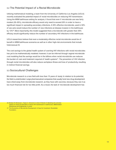#### 3.2 The Potential Impact of a Rectal Microbicide

Utilizing mathematical modeling, a team from the University of California–Los Angeles (UCLA) recently evaluated the potential impact of rectal microbicides on reducing HIV transmission. Using the MSM bathhouse setting for analysis, it found that even if microbicide use was fairly modest (30–50%), microbicide efficacy would only need to exceed 30% in order to have a significant impact in spreading secondary infections. A 50% effective microbicide, used in 50% of sex acts would reduce the number of new infections at disease invasion in the bathhouse by 13%20. More importantly, this model suggested that a microbicide with greater than 30% efficacy would significantly reduce the number of secondary HIV infections in the bathhouse.

UCLA researchers believe that even a moderately effective rectal microbicide would be of benefit in MSM bathhouse scenarios as well as in other high-risk environments that include heterosexual AI.

The cost savings to the global health system of averting HIV infections with rectal microbicides has yet to be mathematically modeled; however, it can be inferred through vaginal microbicide cost modeling that the savings would be in the billions when rectal microbicide use reduces the burden of care and treatment required of health systems<sup>21</sup>. The prevention of HIV infection through rectal microbicides will also reduce workplace illness and loss of productivity, resulting in indirect financial savings.

#### 3.3 Sociocultural Challenges

Microbicide research is a new field with less than 15 years of study. In relation to its potential, the field is underfunded. Large pharmaceutical companies that usually fund new drug development have shied away from microbicide research, as they have with vaccines, because they see it as too much financial risk for too little profit. As a result, the task of microbicide development has

<sup>20.</sup> Breban R, McGowan I, Topaz C, Schwartz E, Anton P, Bowler S. Modeling the potential impact of rectal microbicides to reduce HIV transmission in bathhouses. *Mathematical Biosciences and Engineering*. In press.

<sup>21.</sup> The Economics of Microbicide Development: A Case for Investment. Rockefeller Foundation.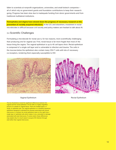fallen to scientists at nonprofit organizations, universities, and small biotech companies all of which rely on government grants and foundation contributions to keep their research going. Progress has been slow due to inadequate funding from donor governments and from traditional multilateral institutions.

**Homophobia and stigma have slowed down the progress of necessary research on the prevention of rectally acquired infections.** In the U.S. and elsewhere, investment in rectal microbicides is difficult because civil society and policy makers are hesitant to talk about AI.

#### 3.4 Scientific Challenges

Formulating a microbicide for rectal use is, for two reasons, more scientifically challenging than producing one for vaginal use. First, rectal tissue is far more fragile than most of the tissue lining the vagina. The vaginal epithelium is up to 40 cell layers thick. Rectal epithelium is composed of a single cell layer and is vulnerable to infection and trauma. The cells in the mucosa below the epithelium also contain many CD4 T cells with lots of necessary co-receptors, rendering them especially susceptible to HIV.





Vaginal Epithelium **Vaginal Existence** Controller Execute Controller Rectal Epithelium

The two illustrations reveal the significant differences between the vaginal and the rectal epithelium. On the (left) is a highly magnified picture of a sample of vaginal tissue. There are multiple layers, or strata, of epithelial cells. The vaginal epithelium is a stratified squamous epithelium designed to withstand the stresses associated with sexual intercourse. In contrast, the rectal epithelium (seen on the right) has a single layer of epithelial cells which makes it very vulnerable to damage associated with anal intercourse. To some extent, these differences may explain why it is much easier to acquire HIV infection through anal rather than vaginal intercourse.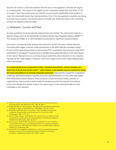Second, the colon is a tube that extends from the anus to the appendix, whereas the vagina is a closed pouch. The inside of the vagina can be completely coated with only about 3–5 ml of product. Since the rectal cavity isn't closed, it could require significantly more product to cover the rectal walls where they need protection. One of the key questions scientists are trying to answer now is exactly how much product it will take and what areas have to be covered to achieve the desired protective effect.

#### 3.5 Research: Current and Past

To date, published rectal microbicide research has been limited. The only human trials for a specific product were for the spermicide nonoxynol-9 ( $N-9$ ) in three separate studies in MSM<sup>22 23 24</sup>. The studies by Phillips et al. demonstrated the potential for significant mucosal toxicity.

Since then, a promising study showed that cyanovirin, an HIV-cell fusion blocker derived from blue-green algae, prevents rectal transmission in the SHIV-infected macaque model<sup>25</sup>. A more recent study showed that an oral tenofovir/FTC combination also prevents rectal SHIV transmission in macaques<sup>26</sup>; however, there is still little known about the basics of HIV transmission in the rectum. Researchers are currently trying to determine which elements of the intestinal mucosa are the initial targets of infection, and which region of the colon needs safeguarding with a microbicide.

**In a sobering discovery presented in 2004, scientists found that a semen simulate can**  travel two to three feet up the colon<sup>27</sup>, which means a microbicide may be required to travel **the same long distance to provide adequate protection.** Although this represents a significant challenge, gastroenterologists routinely prescribe topical products to treat colitis associated with inflammatory bowel disease. These products, usually formed as foams, enemas, or suppositories, may provide a useful model for developing rectal microbicide formulations as they are designed to deliver drugs to the same region of the colon that might be most vulnerable to HIV infection.

- 22. Tabet SR, Surawicz C, Horton S, et al. Safety and toxicity of nonoxynol-9 gel as a rectal microbicide. *Sex Transm Dis*. Infect. 1999; 26: 564–71.
- 23. Phillips DM, Taylor CL, Zacharopoulous VR, Maguire RA. Nonoxynol-9 causes rapid exfoliation of sheets of rectal epithelium. *Contraception*. 2000; 62: 149–54.
- 24. Phillips DM, Sudol KM, Taylor CL, Guichard L, Elsen R, Maguire RA. Lubricants containing n-9 may enhance rectal transmission of HIV and other STDs. *Contraception*. 2004; 70: 107–10.
- 25. Tsai CC, Emau P, Jiang Y, Tian B, Morton WR, Gustafson KR, et al. Cyanovirin-n gel as a topical microbicide prevents rectal transmission of SHIV89.6p in macaques. *AIDS Res Hum Retroviruses*. 2003; 19: 535–41.
- 26. Garcia-Lerma J, Otten R, Qari S, Jackson E, Luo W, Monsour M, et al. Prevention of rectal SHIV transmission in macaques by tenofovir/FTC combination [abstract]. Paper presented at: 12th Conference on Retroviruses and Opportunistic Infections. February 5–8, 2005. Boston, MA
- 27. Hendrix CW, et al. Imaging the distribution of a rectal microbicide gel and semen surrogate in the lower GI tract [abstract]. Paper presented at: International Conference on Microbicides. March 28–31, 2004. London.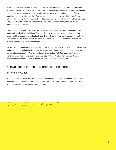Preclinical rectal microbicide development research includes the use of cell lines, intestinal explants (biopsies), and macaque studies of microbicide safety and efficacy. These investigations will enable the advancement of microbicide studies into exploratory human trials. These studies will optimize microbicide safety evaluation in humans; provide initial *ex vivo/in vitro* efficacy data; and yield information about distribution and bioavailability of rectal microbicides. The goal will be to assess the most cost-effective and predictive assays for use in future microbicide development.

Other preclinical research will target the behavioral correlates of AI as well as acceptability studies of candidate formulations. These studies are crucial to developing a product that people will find acceptable and actually use. The findings will help guide the selection of the formulation used in final human trials and will provide a rational basis for the development of other classes of rectal microbicides<sup>28</sup>.

Microbicide compounds that are currently under study for rectal use (in addition to vaginal use) include topical formulations of antiretroviral drugs, including the nucleotide analogue reverse transcriptase inhibitor PMPA, a form of tenofovir, as well as TMC 120 (dapivirine), a secondgeneration non-nucleoside reverse transcriptase inhibitor. Another non-nucleoside reverse transcriptase inhibitor, UC-781, is poised for phase 1 clinical trials this year.

# 4. Investment in Rectal Microbicide Research

#### 4.1 Total Investment

Between 2000 and 2006, total investments in rectal microbicide research show a small, steady increase in funding trends. Total public, private, and philanthropic spending was \$34 million. In 2006 estimated disbursements total \$7.2 million.

<sup>28.</sup> Global Campaign for Microbicides. Rectal microbicide presentation, November 2005. http://www.global-campaign.org/download.htm. Accessed January 7, 2006.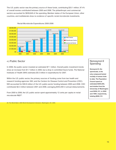The U.S. public sector was the primary source of these funds, contributing \$33.1 million, 97.4% of overall monies contributed between 2000 and 2006. The philanthropic and commercial sectors accounted for \$839,649 of the spending. Member states of the European Union, other countries, and multilaterals show no evidence of specific rectal microbicide investments.



Rectal Microbicide Expenditures 2000-2006

#### 4.2 Public Sector

In 2006, the public sector invested an estimated \$7.1 million. Overall public investment trends show an increase from \$1.7 million in 2000, but a drop in committed future funds. The National Institutes of Health (NIH) estimates \$5.5 million in expenditures for 2007.

Within the U.S. public sector, the primary sources of funding come from two health and research funding agencies: NIH, and the Centers for Disease Control and Prevention (CDC). NIH accounted for \$30.8 million of the U.S. public-sector funding between 2000 and 2006. CDC contributed \$2.3 million between 2001 and 2006, averaging \$453,400 in annual disbursements.

From 2000 to 2006, the U.S. public sector spent approximately 12 cents per capita on rectal microbicide R&D<sup>29</sup>.

29. The World Bank. 2005 World Development Indicators. Washington, DC. 2005.

#### Nonoxynol-9 Spending

**Nonoxynol-9, the spermicide, is the only compound tested rectally in human trials to date. The Population Council spent an estimated \$400,000, and studies from the University of Washington cost \$206,151, in 2000 and 1999, respectively, totaling \$606,151.**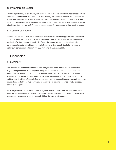#### 4.3 Philanthropic Sector

Philanthropic funding totaled \$739,649, around 2.2% of the total invested funds for rectal microbicide research between 2000 and 2006. The primary philanthropic investor identified was the American Foundation for AIDS Research (amfAR). The foundation does not have a dedicated rectal microbicide funding stream and therefore funding levels fluctuate between years. Rectal microbicide funding from amfAR includes direct support for research as well as meeting support.

#### 4.4 Commercial Sector

The commercial sector has yet to contribute actual dollars; instead support is through in-kind donations, including time spent, pipeline compounds, and infrastructure. All the companies involved in R&D are funded through NIH. Out of the two private companies identified as contributors to rectal microbicide research, Gilead and Biosyn, only the latter revealed a dollar sum contribution, totaling \$100,000 in in-kind donations in 2006.

# 5. Discussion

#### 5.1 Summary

This paper is a first-time effort to track and analyze total rectal microbicide expenditures. In generating estimates from the public and private sectors, we have chosen a very specific focus on rectal research, quantifying the relevant investigations into basic and behavioral sciences, and in animal studies (there are currently no human trials). Although rectal microbicide research will benefit greatly from research on vaginal mucosal transmission, pathogenesis, immunology, and clinical studies, we aim to separate out funding allocated strictly for rectal microbicide inquiry.

While vaginal microbicide development is a global research effort, with the main sources of financing to date coming from the U.S., Canada, Europe, and other countries such as Australia and Japan, investments in rectal research tilt heavily toward U.S. sources.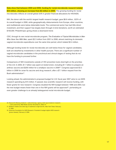**Data show that between 2000 and 2006, funding for rectal microbicide research totaled \$34 million, showing an increase from \$2 million in 2000.** The growing funding for rectal microbicides reflects an overall global shift in greater financial allocations for HIV/AIDS.

NIH, the donor with the world's largest health research budget, gave \$6.6 million, .023% of its overall budget in 2006, while geographically, disbursements from Europe, other countries, and multilaterals were below detectable levels. The commercial sector has had little direct investment, and their support has largely been through in-kind donations, worth an estimated \$100,000. Philanthropic giving shows a downward trend.

CDC, through its own rectal microbicide program, *The Evaluation of Topical Microbicides in Men Who Have Sex With Men*, spent \$2.3 million from 2001 to 2006, almost matching its domestic vaginal microbicide expenditures over the same time period, which totaled \$2.4 million.

Although funding levels for rectal microbicides are well below those for vaginal candidates, both are dwarfed by investments in other health pursuits. There are a significant number of vaginal microbicide candidates in the preclinical and clinical stages of testing that do not have the funding to proceed further.

Comparisons of NIH investments outside of HIV prevention tools shed light on the priorities of the U.S. In 2005, \$1.7 billion was spent on bioterrorism, including \$1.1 billion to prepare an anthrax vaccine and \$200 million for a smallpox vaccine in 200630. Congress approved \$3.3 billion in 2006 for avian flu vaccine and drug research, after a \$7.1 billion request from the Bush administration<sup>31</sup>.

Looking ahead, the administration's proposed budget for U.S. fiscal year 2007 aims to cut AIDS research spending by \$15 million. If passed, less scientific research will receive funding, with fewer grants for new research. Congress doubled the NIH budget between 1998 and 2003, but the new budget means fewer than one in five NIH grants will be approved $32$ , portending an even greater challenge to an already beleaguered rectal microbicide budget.

30. Wysocki B. Missing medicine—radical therapy: agency chief spurs bioterror research —and controversy. *Wall Street Journal*. December 6, 2005; A1.

- 31. McNeil D. States and cities lag in readiness to fight bird flu. *New York Times*. February 6, 2006.
- 32. American Foundation for AIDS Research. President's budget slights AIDS research [press release]. February 6, 2006.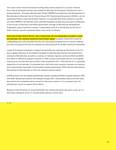This report shows rectal microbicide funding tilting heavily toward U.S. sources; however, there may be European funding unaccounted for. Because the European Commission's microbicide programs—European Microbicides Project (EMPRO) and Selection and Development of Microbicides for Mucosal Use to Prevent Sexual HIV Transmission/Acquisition (SHIVA)—do not specifically finance rectal microbicide research, it is possible that rectal research is carried out under EMPRO's microbicide rubric and that European funding may have gone undetected in this survey. Furthermore, the British government, through its Microbicide Development Programme, plans to perform a phase 1 rectal safety study of a microbicide by the end of 2006; however, specific investment totals could not be confirmed.

**Advocates believe that if the U.S. took a leadership role and adequately invested in rectal microbicides, the research would be much further along.** European researchers would be collaborating more with scientists from the U.S. and seeking funding from E.U. sources. Without this drive, Europeans will have to recognize the need and push for greater resources themselves.

Levels of European investment in vaginal microbicides are catching up with those of the U.S., due to global advocacy by the Global Campaign for Microbicides and the International Partnership for Microbicides, as well as a number of national, regional, and local efforts by NGOs and CBOs in different European countries. In 2000, Europe contributed only 2% of the global resources for microbicides, but by 2004 it had contributed 23%<sup>33</sup>. Now that the E.U. is generally supportive of microbicides, it is possible that it will fund rectal research; however, at a national level, governments may prefer to fund public-private partnerships (PPPs) like the International Partnership for Microbicides or their own national research teams.

amfAR proved to be the largest philanthropic funder, totaling \$739,649 in grants between 2000 and 2006. Researchers believe that midway through 2007, rectal safety indices will have been discovered and candidates will be poised for fast track research. It is incumbent upon the philanthropic sector to support these efforts.

Beyond in-kind donations of around \$100,000, the commercial sector has yet to invest, as it is most likely waiting for proof of concept before taking on fiscal risks.

33. Ibid.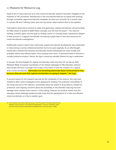#### 5.2 Reasons for Resource Lag

Experts are of many opinions as to why rectal microbicide research has been relegated to the shadows of HIV prevention. Researchers in the microbicide field are occupied with pushing through a potential vaginal microbicide candidate, as there are currently 16 in human trials, 5 in phase 2B and 3 efficacy trials, and over two-dozen others behind them in the pipeline.

Calculations show that to achieve a viable first-generation vaginal microbicide, annual funding for R&D needs to double to \$280 million annually over the next five years $34$ . The need for funding, scientific gains, and the goal of finding a proof of concept keeps researchers diligent in their pursuit of a vaginal microbicide, not leaving a great deal of time and resources for rectal microbicide investigations.

Additionally, experts reason that, historically, vaginal microbicide development was predicated on discovering a woman-initiated prevention tool to be used vaginally. As an afterthought, researchers realized that because microbicides would undoubtedly be used rectally, and probably without any efficacy basis—thus causing more harm—it behooved them to discover a rectally protective product. Hence, the lag in resources partially follows the lag in awareness.

In Europe, the first pledges for vaginal microbicides came from the U.K. as late as 2002. Rebekah Webb, European Coordinator of the Global Campaign for Microbicides, believes that Europe will have a stronger role to play in the future in both the creation of a vaginal and a rectal microbicide. **"Advocates are becoming passionate about rectal products now, because they perceive that vaginal microbicides are going to happen," she says.**

A second reason for the research lag may be the complexity of the science: this may have worked to deter some investigators from applying for funding. The profound vulnerability of the rectal mucosa to HIV infection, uncertainty about the extent of drug delivery needed for protection, and ongoing concerns about the possibility of microbicides inducing mucosal damage have created some concern. In this setting, however, the positive results from the macaque rectal-challenge studies provide hope that the development of a safe and effective rectal microbicide, is in fact a realistic goal.

34. The Pharmaco-Economics Working Group of the Rockefeller Foundation Microbicide Initiative. The economics of microbicide development: a case for investment. http:// www.microbicide.org/microbicideinfo/rockefeller.shtml. Accessed April 3, 2006.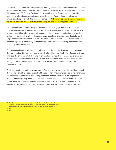The final reason for lack of applications and funding commitments are the sociocultural taboos that condemn a scientific pursuit based on anal-sex behaviors as discussed above in section 3.3, *Sociocultural Challenges*. The head of a biotech firm and a former rectal microbicide investigator, who wishes to remain anonymous because of dependency on U.S. government grants, says the primary obstacles are the politicians: **"There are scientific reasons that give cover, but behind it all, [scientists] are thinking politics are the biggest inhibitor."**

As for the commercial sector, despite repeated efforts to engage their interest, no large pharmaceutical company is involved in microbicide R&D—vaginal or rectal. Instead, the task of development has fallen to nonprofit research institutes, academic scientists, and small biotech companies, all of whom depend on government grants to move their leads forward. Major pharmaceutical companies remain reluctant to get involved because of concerns over scientific regulatory uncertainty and competing opportunities to invest in products that are potentially more profitable<sup>35</sup>.

Pharmaceutical companies cannot be relied upon to develop the first microbicide because they perceive that it is not in their economic self-interest to do so. The Boston Consulting Group analyzed the profit potential of vaginal microbicides. They confirmed that, in the short term, the potential economic return to investors on a first-generation microbicide is not sufficient enough to attract private investment—i.e., the expected revenue would not cover the development cost<sup>36</sup>.

The incentive structure of the private market fails to drive investment in microbicides although they are a potentially a classic public-health good and an innovation predicted to yield enormous returns to society in terms of productivity and health benefits. However, in the longer term, the Boston Consulting Group found that microbicides would create enough of a market to attract private investors in second- and third-generation products<sup>37</sup>. This analysis has been applied to vaginal microbicides; one can infer that the same will likely hold true for rectal microbicides.

35. The Pharmaco-Economics Working Group of the Rockefeller Foundation Microbicide Initiative. The economics of microbicide development: a case for investment. http:// www.microbicide.org/microbicideinfo/rockefeller.shtml. Accessed April 3, 2006. 36. Ibid.

37. Ibid.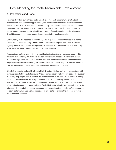# 6. Cost Modeling for Rectal Microbicide Development

#### 6.1 Projections and Gaps

Findings show that current total rectal microbicide research expenditures are \$7.2 million. It is estimated that it will cost approximately \$69.5 million to develop one rectal microbicide candidate over a 10–15 year period. Conservatively, the field probably needs five candidates developed over this period. This will require \$350 million, or roughly \$35 million a year to realize a comprehensive rectal microbicide program. Annual spending needs to increase fivefold to ensure timely discovery and development of a rectal microbicide.

Unfortunately, in the absence of specific regulatory guidance from authorities such as the United States Food and Drug Administration (FDA) or the European Medicines Evaluation Agency (EMEA), it is not clear what portfolio of studies might be needed to file a New Drug Application (NDA) or European Marketing Authorization (MA).

To complicate matters further, the microbicide pipeline is extremely heterogeneous. If it is assumed that some vaginal microbicides can be evaluated as rectal microbicides, then it is likely that significant amounts of product data can be cross-referenced from completed vaginal Investigational New Drug (IND) studies. Some compounds may have minimal preclinical/ clinical data whereas others have quite substantial data already collected.

Clearly, the quantity and quality of available IND data will influence the costs associated with moving products through to licensure. Another consideration that will drive cost is the question of which group or groups will conduct the studies needed to file an IND/NDA or MA. In reality, rectal microbicide studies are likely to be conducted within federally funded networks. This may reduce cost but increases the complexity of creating a model and reduces the degree of precision in generating an overall cost. The field of rectal microbicide research is still in its infancy, and it is probable that any compound being developed will need significant resources to optimize formulation as well as acceptability studies to determine the success or failure of the formulation research.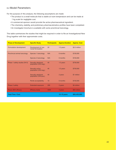#### 6.2 Model Parameters

For the purpose of this analysis, the following assumptions are made:

- The product is a small molecule that is stable at room temperature and can be made at 1 kg scale for negligible cost.
- A commercial sponsor would provide the active pharmaceutical ingredient.
- The chemistry, stability, and preliminary pharmacokinetics profiles have been completed.
- An investigator brochure is available with some preclinical toxicology.

This table summarizes the studies that might be required in order to file an Investigational New Drug together with their approximate costs.

| <b>Phase of Development</b>   | <b>Specific Study</b>                              | <b>Participants</b> | <b>Approx.Duration</b> | <b>Approx. Cost</b> |
|-------------------------------|----------------------------------------------------|---------------------|------------------------|---------------------|
| Formulation development       | Development of one<br>rectal formulation           | 20                  | 1.5 years              | \$2.5 million       |
| Preclinical animal toxicology | Species 1 toxicology                               | N/A                 | 6 months               | \$150,000           |
|                               | Species 2 toxicology                               | N/A                 | 6 months               | \$150,000           |
| Phase 1 safety studies (N=3)  | Sexually abstinent<br>population (HIV-neg.)        | 40                  | 1.5 years              | \$750,000           |
|                               | <b>Sexually active</b><br>population (HIV-neg.)    | 40                  | 1.5 years              | \$750,000           |
|                               | <b>Sexually abstinent</b><br>population (HIV-pos.) | 40                  | 2 years                | \$1 million         |
|                               | Penile acceptability                               | 10                  | 6 months               | \$150,000           |
| Phase 2 safety                | <b>Extended exposure</b>                           | 200                 | 2 years                | \$4 million         |
| Phase 2B/3 efficacy           | <b>Efficacy study</b>                              | 4000                | 4 years                | \$60 million        |
| <b>Total Time / Cost</b>      |                                                    |                     | $10-15$ years          | \$69,450,000        |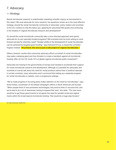# 7. Advocacy

#### 7.1 Strategy

Rectal microbicide research is underfunded, impeding scientific inquiry, as documented in this report. We must advocate for more research, but questions remain as to the most effective strategy: should the rectal microbicide community of advocates, policy makers and scientists in the U.S. continue to ride the status quo, applying for piecemeal NIH grants and continuing in the shadow of vaginal microbicide research and development?

Or, should the rectal microbicide community take a more directed approach and openly advocate for its own specially funded programs? Will scientists then be more willing to come forward and ask for what they need? "Greater strides in the development of rectal microbicides can be achieved by targeted grant funding," says Osmond D'Cruz, a researcher at Parker Hughes Institute. **"At present, this area is just a side project of vaginal microbicides."**

Others, however, caution that community advocacy efforts on behalf of rectal microbicides may wake a sleeping giant and thus threaten to create a backlash against all microbicide funding. After all, the U.S. funds 74% of global vaginal microbicide public investment<sup>38</sup>.

Advocates are looking to the governments of Europe and Canada to accelerate their support for rectal microbicide research and development. Although it is possible for advocates and scientists to overtly talk about the need for rectal products without fear of political reprisals in certain countries, many advocates aren't convinced that setting up a separate program for rectal microbicides is realistic, even in progressive settings.

"We've made progress in focusing policy maker attention on the need for microbicides," says Anna Forbes, coordinator of the Global Campaign's efforts in North American and Europe. "When people think of new prevention technologies, they tend to think of vaccines first, and we've had to do a lot of awareness raising to expand that view," she adds. "The next move would be to get these governments to recognize the need for parallel rectal and vaginal tracks within the broad topical microbicide funding. That would be a huge step forward."

38. http://www.avac.org/#2 Ibid.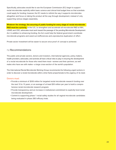Specifically, advocates would like to see the European Commission (EC) begin to support rectal microbicides explicitly within basic science and clinical trial budget lines so that scientists could apply for funding; however, the EC needs to rethink the way it supports microbicides altogether and focus on taking the product all the way through development, instead of only supporting various stages separately.

**Whatever the strategy, the securing of public funding for every stage of rectal microbicide R&D must be a priority.** In the U.S., to strengthen and accelerate all microbicide R&D at NIH, USAID, and CDC, advocates must work toward the passage of the pending Microbicide Development Act. In addition to enhancing funding, the Act could help the federal government coordinate microbicide programs and weed out inefficiencies and unproductive duplication of effort.

Private sector investment will be easier to secure once proof of concept is achieved.

#### 7.2 Recommendations

The public and private sectors, donors and investors, international agencies, policy makers, health providers, advocates, and activists all have critical roles to play in ensuring the development of a rectal microbicide for those who need them most—women and their partners, as well males who have sex with males—a large cross-section of the world's population.

The International Rectal Microbicide Working Group recommends the following urgent actions in order to discover a rectal microbicide within a time frame proportionate to the urgency of its need.

#### Donors must:

- Provide a minimum of \$350 million for targeted rectal microbicide research funding over the next 10 to 15 years, or an average of at least \$35 million per year to build a comprehensive rectal microbicide research program.
- Provide transparency and an increase in institutional commitment to explicitly fund rectal microbicide development.
- Commit to supporting phase 1 rectal safety studies for all vaginal microbicide candidates being evaluated in phase 2B/3 efficacy trials.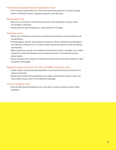#### International nongovernmental organizations must:

• Form a body to specifically track rectal microbicide development, to ensure funding, and to coordinate research, regulatory approval, and advocacy.

#### Researchers must:

- Recruit new scientists to the field and promote rectal microbicide research within the scientific community.
- Initiate ideas for grant proposals to create demand for funding.

#### Advocates must:

- Reach out to affected communities to educate and to promote rectal microbicide trial preparedness.
- Promote global, national, and regional surveillance efforts to determine percentage of HIV infections attributed to AI in order to better assess the need for rectal microbicide development.
- Raise awareness, educate, and mobilize communities to foment a stronger, more visible demand for rectal microbicides and to elevate the profile of microbicides among policy makers.
- Ensure linkages to the broader microbicide movement and to advocates working on other prevention technologies.

#### Regulatory agencies like the U.S. FDA, the EMEA, and others must:

- Create support and development guidelines to accelerate the study and licensure of rectal microbicides.
- Request that all New Drug Applications for vaginal microbicides include at least one rectal safety study as part of the submission package.

#### The U.S. Congress must:

• Pass the Microbicide Development Act, and other countries should consider similar legislation.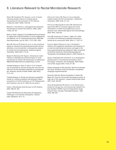## 8. Literature Relevant to Rectal Microbicide Research

Abner SR, Guenthner PC, Guarner J, et al. A human colorectal explant culture to evaluate topical microbicides for the prevention of HIV infection. *J Infect Dis*. 2005; 192(9): 1545–56.

Balzarini J, Van Damme L. Intravaginal and intrarectal microbicides to prevent HIV infection. *CMAJ*. 2005; 172(4): 461–64.

Baron S, Poast J, Nguyen D, Cloyd MW. Practical prevention of vaginal and rectal transmission of HIV by adapting the oral defense: use of commercial lubricants. *AIDS Res Hum Retroviruses*. July 20, 2001; 17(11): 997–1002.

Beer BE, Doncel GF, Krebs FC, et al. In vitro preclinical testing of nonoxynol-9 as potential anti-human immunodeficiency virus microbicide: a retrospective analysis of results from five laboratories. *Antimicrob Agents Chemother*. 2006; 50(2): 713–23.

Breban R, McGowan IM, Topaz C, Schwartz EJ, Anton P, Blower S. Modeling the potential impact of rectal microbicides to reduce HIV transmission in bathhouses. *Mathematical Biosciences & Engineering*. In press.

Carballo-Diéguez A, Stein Z, Saez H, et al. Frequent use of lubricants for anal sex among men who have sex with men: the HIV prevention potential of a microbicidal gel. *American Journal of Public Health*. 2000; 90(7): 1117–121.

Carballo-Diéguez A. Rectal microbicide acceptability: results of a volume escalation trial [abstract]. Paper presented at: 3rd IAS Conference on HIV Pathogenesis and Treatment; July 24–27, 2005; Rio de Janiero.

Cohen J. Microbicide shuts the door on HIV. *Science*. 2004; 306(15): 387.

Coplan PM, Mitchnick M, Rosenberg ZF. Regulatory challenges in microbicide development. *Science*. 2004; 304(5679): 1911–12.

D'Cruz OJ, Uckun FM. Dawn of non-nucleoside inhibitor-based anti-HIV microbicides. *J Antimicrob Chemother*. 2006; 57(3): 411–23.

D'Cruz OJ, Waurzyniak B, Uckun FM. Antiretroviral spermicide WHI–07 prevents vaginal and rectal transmission of feline immunodeficiency virus in domestic cats. *Antimicrobial Agents and Chemotherapy*. 2004; 48(4): 1082–88.

Foss AM, Vickerman PT, Heise L, Watts, CH. Shifts in condom use following microbicide introduction: should we be concerned? *AIDS*. 2003; 17: 1227–37.

Fuchs E, Wahl R, Macura K, Leal J, Grohskopf L, Hendrix CW. Imaging the distribution and clearance of a rectal microbicide gel and semen surrogate in the lower gastrointestinal tract [abstract]. Paper presented at: American Society for Clinical Pharmacology and Therapeutics Annual Meeting. March 2, 2005. Orlando, FL.

Garg S, Tambwekar KR, Vermani K, et al. Development pharmaceutics of microbicide formulations. Part II: formulation, evaluation, and challenges. *AIDS Patient Care STDS*. August 2003; 17(8): 377–99.

Global Campaign for Microbicides. Rectal microbicides fact sheet, All about rectal microbicides. www.globalcampaign.org/download.htm

Gross M, Holte SE, Marmor M, Mwatha A, Koblin BA, Mayer KH. Anal sex among HIV-seronegative women at high risk of HIV exposure. *J Acquir Immune Defic Syndr*. 2001; 24(4): 393–98.

Gross M, Buchbinder SP, Celum C, et al. Rectal microbicides for US gay men. Are clinical trials needed? Are they feasible? HIVNET Vaccine Preparedness Study Protocol Team. *Sexually Transmitted Diseases*. 1998; 25(6): 296–302.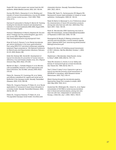Gupta GR. How men's power over women fuels the HIV epidemic. *British Medical Journal*. 2002; 324: 183–84.

Gurney KB, Elliott J, Nassanian H, et al. Binding and transfer of human immunodeficiency virus by DC-SIGN+ cells in human rectal mucosa. *J Virol*. 2005; 79(9): 5762–5773.

Harrison P, Lamourelle G, Rowley R, Warren M. Tracking funding for microbicide research and development: estimates of annual investments 2000–2005, August 2005. http://www.avac.org/#2.

Hickson F, Weahterburn P, Reid D, Stephens M. Out and about. Findings from the United Kingdom, gay men's sex survey 2002. Sigma Research. http://www.sigmaresearch.org.uk/projects21.html.

Khan W, Fuchs E, Parsons T, et al. Rectal microbicide gel vehicle distribution in the lower gastrointestinal tract using SPECT/CT and direct endoscopic sampling [abstract]. Paper presented at: 12th National Conference on Retroviruses and Opportunistic Infections; February 22–25, 2005; Boston, MA.

Keller MJ, Klotman ME, Herold BC. Development of topical microbicides for prevention of human immunodeficiency virus and herpes simplex virus. *Am J Reprod Immunol*. May 2003; 49(5): 279–284.

Mantell JE, Myer L, Carballo-Diéguez A, et al. Microbicide acceptability research: current approaches and future directions. *Soc Sci Med*. January 2005; 60(2): 319–30.

Patton DL, Sweeney YC, Cummings PK, et al. Safety and efficacy evaluations for vaginal and rectal use of BufferGel in the macaque model. *Sexually Transmitted Diseases*. 2004; 31(5): 290–96.

Patton DL, Cosgrove Sweeney YT, Rabe LK, et al. Rectal applications of nonoxynol-9 cause tissue disruption in a monkey model. *Sexually Transmitted Diseases*. 2002; 29(10): 581–87.

Patton DL, Cosgrove Sweeney YT, Rabe LK, et al. The pig-tailed macaque rectal model: microflora and chlamydial infection. *Sexually Transmitted Diseases*. 2001; 28(7): 363–6.

Phillips DM, Taylor CL, Zacharopoulos VR, Maguire RA. Nonoxynol-9 causes rapid exfoliation of sheets of rectal epithelium. *Contraception*. 2000; 62: 149–54.

Rader M, Marks G, Mansergh G, et al. Preferences about the characteristics of future HIV prevention products among men who have sex with men. *AIDS Educ Prev*. April, 2001; 13(2): 149–59.

Roehr B. Microbicides 2000: fashioning new tools to deter HIV transmission. *Journal of International Association of Physicians in AIDS Care*. 2000; 157–69.

Rosengarten M, Murphy D. Making connections, HIV vaccines and microbicides: a social research agenda report. National AIDS Trust. www.nat.org.uk/documents/ MakingConnections.pdf.

Shattock RJ, Moore JP. Inhibiting sexual transmission of HIV-1 infection. *Nat Rev Microbiol*. October 1, 2003; (1): 25–34.

Stephenson J. Microbicides: Ideas flourish, money to follow? *JAMA*. 2000; 283(14): 1811–12.

Tabet SR, Surawicz C, Horton, S, et al. Safety and toxicity of nonoxynol-9 gel as a rectal microbicide. *Sex Transm Dis*. 1999; 26(10): 564–71.

Tsai C, Emau P, Jiang Y, et al. Cyanovirin-n gel as a topical microbicide prevents rectal transmission of SHIV89.6P in macaques. *AIDS Research Human Retroviruses*. 2003; 19(7): 535–41.

What's flowing through the microbicide pipeline. Approaches range from complex to simple. *AIDS Alert*. May 2004; 19(5): 52–4.

Zuckerman RA, Whittington WL, Celum CL, et al. Higher concentration of HIV RNA in rectal mucosa secretions than in blood and seminal plasma, among men who have sex with men, independent of antiretroviral therapy. *J Infect Dis*. July 1, 2004; 190(1): 156–61.